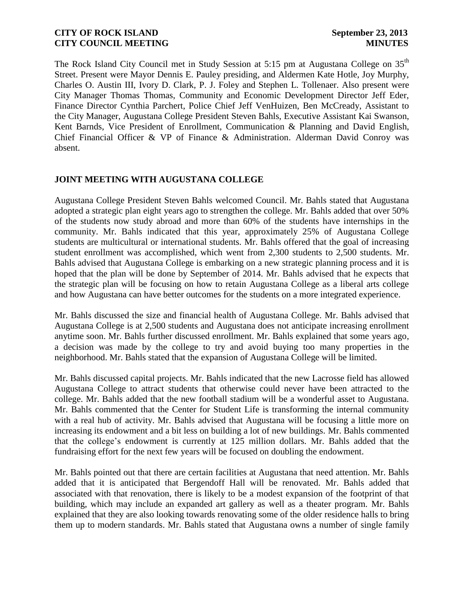The Rock Island City Council met in Study Session at 5:15 pm at Augustana College on 35<sup>th</sup> Street. Present were Mayor Dennis E. Pauley presiding, and Aldermen Kate Hotle, Joy Murphy, Charles O. Austin III, Ivory D. Clark, P. J. Foley and Stephen L. Tollenaer. Also present were City Manager Thomas Thomas, Community and Economic Development Director Jeff Eder, Finance Director Cynthia Parchert, Police Chief Jeff VenHuizen, Ben McCready, Assistant to the City Manager, Augustana College President Steven Bahls, Executive Assistant Kai Swanson, Kent Barnds, Vice President of Enrollment, Communication & Planning and David English, Chief Financial Officer & VP of Finance & Administration. Alderman David Conroy was absent.

# **JOINT MEETING WITH AUGUSTANA COLLEGE**

Augustana College President Steven Bahls welcomed Council. Mr. Bahls stated that Augustana adopted a strategic plan eight years ago to strengthen the college. Mr. Bahls added that over 50% of the students now study abroad and more than 60% of the students have internships in the community. Mr. Bahls indicated that this year, approximately 25% of Augustana College students are multicultural or international students. Mr. Bahls offered that the goal of increasing student enrollment was accomplished, which went from 2,300 students to 2,500 students. Mr. Bahls advised that Augustana College is embarking on a new strategic planning process and it is hoped that the plan will be done by September of 2014. Mr. Bahls advised that he expects that the strategic plan will be focusing on how to retain Augustana College as a liberal arts college and how Augustana can have better outcomes for the students on a more integrated experience.

Mr. Bahls discussed the size and financial health of Augustana College. Mr. Bahls advised that Augustana College is at 2,500 students and Augustana does not anticipate increasing enrollment anytime soon. Mr. Bahls further discussed enrollment. Mr. Bahls explained that some years ago, a decision was made by the college to try and avoid buying too many properties in the neighborhood. Mr. Bahls stated that the expansion of Augustana College will be limited.

Mr. Bahls discussed capital projects. Mr. Bahls indicated that the new Lacrosse field has allowed Augustana College to attract students that otherwise could never have been attracted to the college. Mr. Bahls added that the new football stadium will be a wonderful asset to Augustana. Mr. Bahls commented that the Center for Student Life is transforming the internal community with a real hub of activity. Mr. Bahls advised that Augustana will be focusing a little more on increasing its endowment and a bit less on building a lot of new buildings. Mr. Bahls commented that the college's endowment is currently at 125 million dollars. Mr. Bahls added that the fundraising effort for the next few years will be focused on doubling the endowment.

Mr. Bahls pointed out that there are certain facilities at Augustana that need attention. Mr. Bahls added that it is anticipated that Bergendoff Hall will be renovated. Mr. Bahls added that associated with that renovation, there is likely to be a modest expansion of the footprint of that building, which may include an expanded art gallery as well as a theater program. Mr. Bahls explained that they are also looking towards renovating some of the older residence halls to bring them up to modern standards. Mr. Bahls stated that Augustana owns a number of single family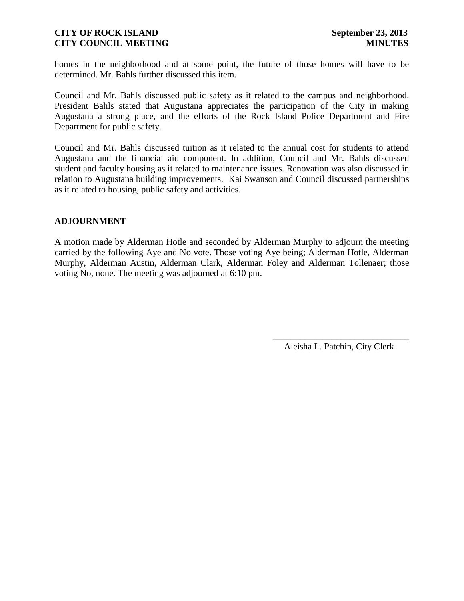homes in the neighborhood and at some point, the future of those homes will have to be determined. Mr. Bahls further discussed this item.

Council and Mr. Bahls discussed public safety as it related to the campus and neighborhood. President Bahls stated that Augustana appreciates the participation of the City in making Augustana a strong place, and the efforts of the Rock Island Police Department and Fire Department for public safety.

Council and Mr. Bahls discussed tuition as it related to the annual cost for students to attend Augustana and the financial aid component. In addition, Council and Mr. Bahls discussed student and faculty housing as it related to maintenance issues. Renovation was also discussed in relation to Augustana building improvements. Kai Swanson and Council discussed partnerships as it related to housing, public safety and activities.

## **ADJOURNMENT**

A motion made by Alderman Hotle and seconded by Alderman Murphy to adjourn the meeting carried by the following Aye and No vote. Those voting Aye being; Alderman Hotle, Alderman Murphy, Alderman Austin, Alderman Clark, Alderman Foley and Alderman Tollenaer; those voting No, none. The meeting was adjourned at 6:10 pm.

> \_\_\_\_\_\_\_\_\_\_\_\_\_\_\_\_\_\_\_\_\_\_\_\_\_\_\_\_\_\_ Aleisha L. Patchin, City Clerk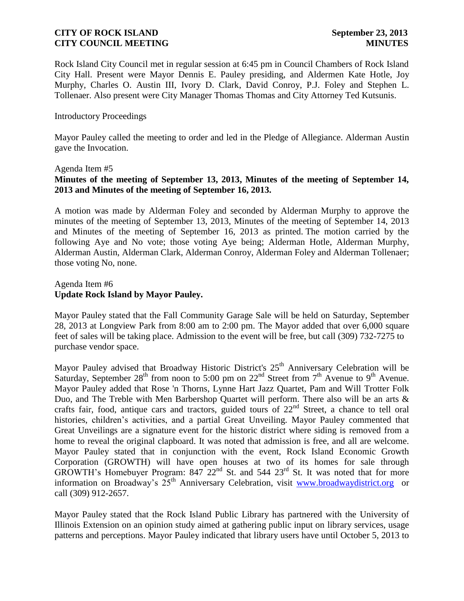Rock Island City Council met in regular session at 6:45 pm in Council Chambers of Rock Island City Hall. Present were Mayor Dennis E. Pauley presiding, and Aldermen Kate Hotle, Joy Murphy, Charles O. Austin III, Ivory D. Clark, David Conroy, P.J. Foley and Stephen L. Tollenaer. Also present were City Manager Thomas Thomas and City Attorney Ted Kutsunis.

#### Introductory Proceedings

Mayor Pauley called the meeting to order and led in the Pledge of Allegiance. Alderman Austin gave the Invocation.

#### Agenda Item #5

# **Minutes of the meeting of September 13, 2013, Minutes of the meeting of September 14, 2013 and Minutes of the meeting of September 16, 2013.**

A motion was made by Alderman Foley and seconded by Alderman Murphy to approve the minutes of the meeting of September 13, 2013, Minutes of the meeting of September 14, 2013 and Minutes of the meeting of September 16, 2013 as printed. The motion carried by the following Aye and No vote; those voting Aye being; Alderman Hotle, Alderman Murphy, Alderman Austin, Alderman Clark, Alderman Conroy, Alderman Foley and Alderman Tollenaer; those voting No, none.

## Agenda Item #6 **Update Rock Island by Mayor Pauley.**

Mayor Pauley stated that the Fall Community Garage Sale will be held on Saturday, September 28, 2013 at Longview Park from 8:00 am to 2:00 pm. The Mayor added that over 6,000 square feet of sales will be taking place. Admission to the event will be free, but call (309) 732-7275 to purchase vendor space.

Mayor Pauley advised that Broadway Historic District's  $25<sup>th</sup>$  Anniversary Celebration will be Saturday, September  $28<sup>th</sup>$  from noon to 5:00 pm on  $22<sup>nd</sup>$  Street from  $7<sup>th</sup>$  Avenue to  $9<sup>th</sup>$  Avenue. Mayor Pauley added that Rose 'n Thorns, Lynne Hart Jazz Quartet, Pam and Will Trotter Folk Duo, and The Treble with Men Barbershop Quartet will perform. There also will be an arts & crafts fair, food, antique cars and tractors, guided tours of  $22<sup>nd</sup>$  Street, a chance to tell oral histories, children's activities, and a partial Great Unveiling. Mayor Pauley commented that Great Unveilings are a signature event for the historic district where siding is removed from a home to reveal the original clapboard. It was noted that admission is free, and all are welcome. Mayor Pauley stated that in conjunction with the event, Rock Island Economic Growth Corporation (GROWTH) will have open houses at two of its homes for sale through GROWTH's Homebuyer Program:  $847.22<sup>nd</sup>$  St. and 544  $23<sup>rd</sup>$  St. It was noted that for more information on Broadway's  $25<sup>th</sup>$  Anniversary Celebration, visit [www.broadwaydistrict.org](http://www.broadwaydistrict.org/) or call (309) 912-2657.

Mayor Pauley stated that the Rock Island Public Library has partnered with the University of Illinois Extension on an opinion study aimed at gathering public input on library services, usage patterns and perceptions. Mayor Pauley indicated that library users have until October 5, 2013 to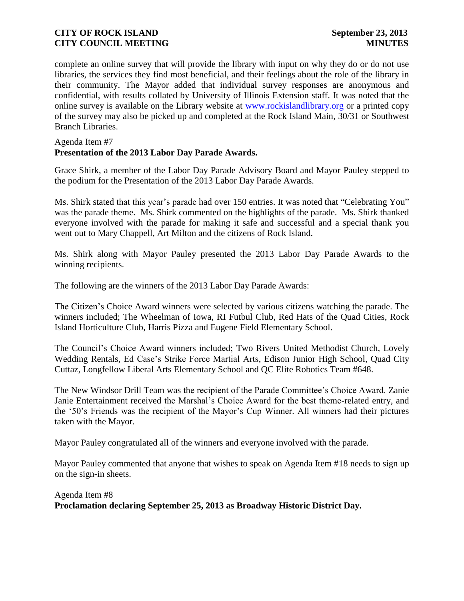complete an online survey that will provide the library with input on why they do or do not use libraries, the services they find most beneficial, and their feelings about the role of the library in their community. The Mayor added that individual survey responses are anonymous and confidential, with results collated by University of Illinois Extension staff. It was noted that the online survey is available on the Library website at [www.rockislandlibrary.org](http://www.rockislandlibrary.org/) or a printed copy of the survey may also be picked up and completed at the Rock Island Main, 30/31 or Southwest Branch Libraries.

#### Agenda Item #7

# **Presentation of the 2013 Labor Day Parade Awards.**

Grace Shirk, a member of the Labor Day Parade Advisory Board and Mayor Pauley stepped to the podium for the Presentation of the 2013 Labor Day Parade Awards.

Ms. Shirk stated that this year's parade had over 150 entries. It was noted that "Celebrating You" was the parade theme. Ms. Shirk commented on the highlights of the parade. Ms. Shirk thanked everyone involved with the parade for making it safe and successful and a special thank you went out to Mary Chappell, Art Milton and the citizens of Rock Island.

Ms. Shirk along with Mayor Pauley presented the 2013 Labor Day Parade Awards to the winning recipients.

The following are the winners of the 2013 Labor Day Parade Awards:

The Citizen's Choice Award winners were selected by various citizens watching the parade. The winners included; The Wheelman of Iowa, RI Futbul Club, Red Hats of the Quad Cities, Rock Island Horticulture Club, Harris Pizza and Eugene Field Elementary School.

The Council's Choice Award winners included; Two Rivers United Methodist Church, Lovely Wedding Rentals, Ed Case's Strike Force Martial Arts, Edison Junior High School, Quad City Cuttaz, Longfellow Liberal Arts Elementary School and QC Elite Robotics Team #648.

The New Windsor Drill Team was the recipient of the Parade Committee's Choice Award. Zanie Janie Entertainment received the Marshal's Choice Award for the best theme-related entry, and the '50's Friends was the recipient of the Mayor's Cup Winner. All winners had their pictures taken with the Mayor.

Mayor Pauley congratulated all of the winners and everyone involved with the parade.

Mayor Pauley commented that anyone that wishes to speak on Agenda Item #18 needs to sign up on the sign-in sheets.

# Agenda Item #8 **Proclamation declaring September 25, 2013 as Broadway Historic District Day.**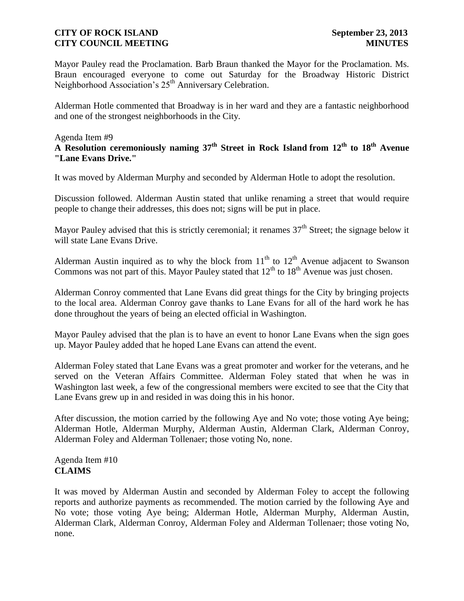Mayor Pauley read the Proclamation. Barb Braun thanked the Mayor for the Proclamation. Ms. Braun encouraged everyone to come out Saturday for the Broadway Historic District Neighborhood Association's 25<sup>th</sup> Anniversary Celebration.

Alderman Hotle commented that Broadway is in her ward and they are a fantastic neighborhood and one of the strongest neighborhoods in the City.

#### Agenda Item #9

**A Resolution ceremoniously naming 37th Street in Rock Island from 12th to 18th Avenue "Lane Evans Drive."**

It was moved by Alderman Murphy and seconded by Alderman Hotle to adopt the resolution.

Discussion followed. Alderman Austin stated that unlike renaming a street that would require people to change their addresses, this does not; signs will be put in place.

Mayor Pauley advised that this is strictly ceremonial; it renames  $37<sup>th</sup>$  Street; the signage below it will state Lane Evans Drive.

Alderman Austin inquired as to why the block from  $11<sup>th</sup>$  to  $12<sup>th</sup>$  Avenue adjacent to Swanson Commons was not part of this. Mayor Pauley stated that  $12<sup>th</sup>$  to  $18<sup>th</sup>$  Avenue was just chosen.

Alderman Conroy commented that Lane Evans did great things for the City by bringing projects to the local area. Alderman Conroy gave thanks to Lane Evans for all of the hard work he has done throughout the years of being an elected official in Washington.

Mayor Pauley advised that the plan is to have an event to honor Lane Evans when the sign goes up. Mayor Pauley added that he hoped Lane Evans can attend the event.

Alderman Foley stated that Lane Evans was a great promoter and worker for the veterans, and he served on the Veteran Affairs Committee. Alderman Foley stated that when he was in Washington last week, a few of the congressional members were excited to see that the City that Lane Evans grew up in and resided in was doing this in his honor.

After discussion, the motion carried by the following Aye and No vote; those voting Aye being; Alderman Hotle, Alderman Murphy, Alderman Austin, Alderman Clark, Alderman Conroy, Alderman Foley and Alderman Tollenaer; those voting No, none.

## Agenda Item #10 **CLAIMS**

It was moved by Alderman Austin and seconded by Alderman Foley to accept the following reports and authorize payments as recommended. The motion carried by the following Aye and No vote; those voting Aye being; Alderman Hotle, Alderman Murphy, Alderman Austin, Alderman Clark, Alderman Conroy, Alderman Foley and Alderman Tollenaer; those voting No, none.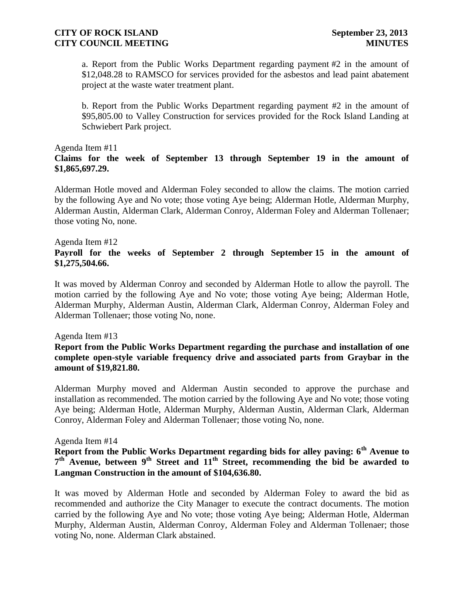a. Report from the Public Works Department regarding payment #2 in the amount of \$12,048.28 to RAMSCO for services provided for the asbestos and lead paint abatement project at the waste water treatment plant.

b. Report from the Public Works Department regarding payment #2 in the amount of \$95,805.00 to Valley Construction for services provided for the Rock Island Landing at Schwiebert Park project.

#### Agenda Item #11

## **Claims for the week of September 13 through September 19 in the amount of \$1,865,697.29.**

Alderman Hotle moved and Alderman Foley seconded to allow the claims. The motion carried by the following Aye and No vote; those voting Aye being; Alderman Hotle, Alderman Murphy, Alderman Austin, Alderman Clark, Alderman Conroy, Alderman Foley and Alderman Tollenaer; those voting No, none.

#### Agenda Item #12

# **Payroll for the weeks of September 2 through September 15 in the amount of \$1,275,504.66.**

It was moved by Alderman Conroy and seconded by Alderman Hotle to allow the payroll. The motion carried by the following Aye and No vote; those voting Aye being; Alderman Hotle, Alderman Murphy, Alderman Austin, Alderman Clark, Alderman Conroy, Alderman Foley and Alderman Tollenaer; those voting No, none.

#### Agenda Item #13

## **Report from the Public Works Department regarding the purchase and installation of one complete open-style variable frequency drive and associated parts from Graybar in the amount of \$19,821.80.**

Alderman Murphy moved and Alderman Austin seconded to approve the purchase and installation as recommended. The motion carried by the following Aye and No vote; those voting Aye being; Alderman Hotle, Alderman Murphy, Alderman Austin, Alderman Clark, Alderman Conroy, Alderman Foley and Alderman Tollenaer; those voting No, none.

#### Agenda Item #14

# **Report from the Public Works Department regarding bids for alley paving: 6th Avenue to 7 th Avenue, between 9th Street and 11th Street, recommending the bid be awarded to Langman Construction in the amount of \$104,636.80.**

It was moved by Alderman Hotle and seconded by Alderman Foley to award the bid as recommended and authorize the City Manager to execute the contract documents. The motion carried by the following Aye and No vote; those voting Aye being; Alderman Hotle, Alderman Murphy, Alderman Austin, Alderman Conroy, Alderman Foley and Alderman Tollenaer; those voting No, none. Alderman Clark abstained.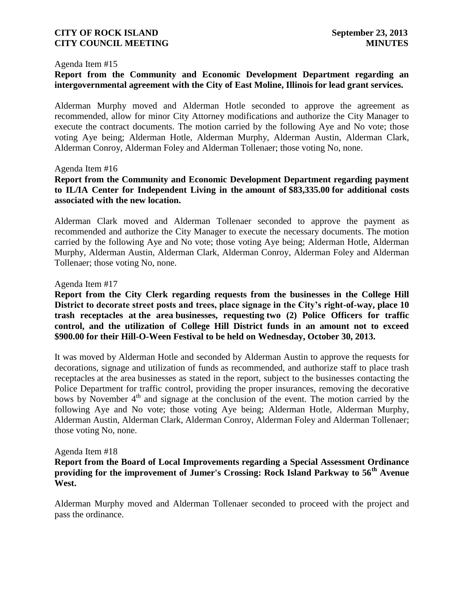#### Agenda Item #15

# **Report from the Community and Economic Development Department regarding an intergovernmental agreement with the City of East Moline, Illinois for lead grant services.**

Alderman Murphy moved and Alderman Hotle seconded to approve the agreement as recommended, allow for minor City Attorney modifications and authorize the City Manager to execute the contract documents. The motion carried by the following Aye and No vote; those voting Aye being; Alderman Hotle, Alderman Murphy, Alderman Austin, Alderman Clark, Alderman Conroy, Alderman Foley and Alderman Tollenaer; those voting No, none.

#### Agenda Item #16

# **Report from the Community and Economic Development Department regarding payment to IL/IA Center for Independent Living in the amount of \$83,335.00 for additional costs associated with the new location.**

Alderman Clark moved and Alderman Tollenaer seconded to approve the payment as recommended and authorize the City Manager to execute the necessary documents. The motion carried by the following Aye and No vote; those voting Aye being; Alderman Hotle, Alderman Murphy, Alderman Austin, Alderman Clark, Alderman Conroy, Alderman Foley and Alderman Tollenaer; those voting No, none.

#### Agenda Item #17

**Report from the City Clerk regarding requests from the businesses in the College Hill District to decorate street posts and trees, place signage in the City's right-of-way, place 10 trash receptacles at the area businesses, requesting two (2) Police Officers for traffic control, and the utilization of College Hill District funds in an amount not to exceed \$900.00 for their Hill-O-Ween Festival to be held on Wednesday, October 30, 2013.**

It was moved by Alderman Hotle and seconded by Alderman Austin to approve the requests for decorations, signage and utilization of funds as recommended, and authorize staff to place trash receptacles at the area businesses as stated in the report, subject to the businesses contacting the Police Department for traffic control, providing the proper insurances, removing the decorative bows by November  $4<sup>th</sup>$  and signage at the conclusion of the event. The motion carried by the following Aye and No vote; those voting Aye being; Alderman Hotle, Alderman Murphy, Alderman Austin, Alderman Clark, Alderman Conroy, Alderman Foley and Alderman Tollenaer; those voting No, none.

#### Agenda Item #18

# **Report from the Board of Local Improvements regarding a Special Assessment Ordinance providing for the improvement of Jumer's Crossing: Rock Island Parkway to 56th Avenue West.**

Alderman Murphy moved and Alderman Tollenaer seconded to proceed with the project and pass the ordinance.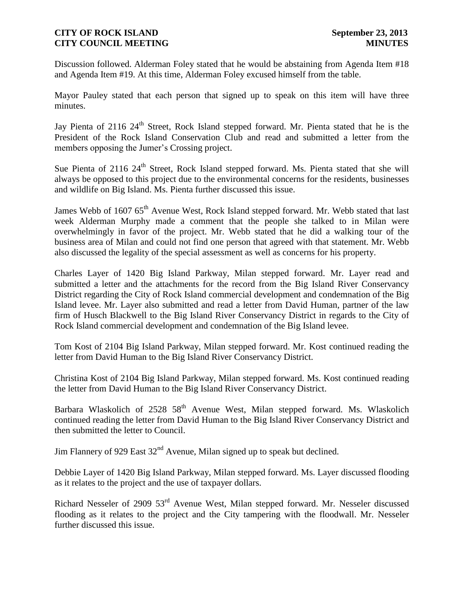Discussion followed. Alderman Foley stated that he would be abstaining from Agenda Item #18 and Agenda Item #19. At this time, Alderman Foley excused himself from the table.

Mayor Pauley stated that each person that signed up to speak on this item will have three minutes.

Jay Pienta of 2116 24<sup>th</sup> Street, Rock Island stepped forward. Mr. Pienta stated that he is the President of the Rock Island Conservation Club and read and submitted a letter from the members opposing the Jumer's Crossing project.

Sue Pienta of 2116 24<sup>th</sup> Street, Rock Island stepped forward. Ms. Pienta stated that she will always be opposed to this project due to the environmental concerns for the residents, businesses and wildlife on Big Island. Ms. Pienta further discussed this issue.

James Webb of 1607 65<sup>th</sup> Avenue West, Rock Island stepped forward. Mr. Webb stated that last week Alderman Murphy made a comment that the people she talked to in Milan were overwhelmingly in favor of the project. Mr. Webb stated that he did a walking tour of the business area of Milan and could not find one person that agreed with that statement. Mr. Webb also discussed the legality of the special assessment as well as concerns for his property.

Charles Layer of 1420 Big Island Parkway, Milan stepped forward. Mr. Layer read and submitted a letter and the attachments for the record from the Big Island River Conservancy District regarding the City of Rock Island commercial development and condemnation of the Big Island levee. Mr. Layer also submitted and read a letter from David Human, partner of the law firm of Husch Blackwell to the Big Island River Conservancy District in regards to the City of Rock Island commercial development and condemnation of the Big Island levee.

Tom Kost of 2104 Big Island Parkway, Milan stepped forward. Mr. Kost continued reading the letter from David Human to the Big Island River Conservancy District.

Christina Kost of 2104 Big Island Parkway, Milan stepped forward. Ms. Kost continued reading the letter from David Human to the Big Island River Conservancy District.

Barbara Wlaskolich of  $2528\,58^{th}$  Avenue West, Milan stepped forward. Ms. Wlaskolich continued reading the letter from David Human to the Big Island River Conservancy District and then submitted the letter to Council.

Jim Flannery of 929 East 32<sup>nd</sup> Avenue, Milan signed up to speak but declined.

Debbie Layer of 1420 Big Island Parkway, Milan stepped forward. Ms. Layer discussed flooding as it relates to the project and the use of taxpayer dollars.

Richard Nesseler of 2909 53rd Avenue West, Milan stepped forward. Mr. Nesseler discussed flooding as it relates to the project and the City tampering with the floodwall. Mr. Nesseler further discussed this issue.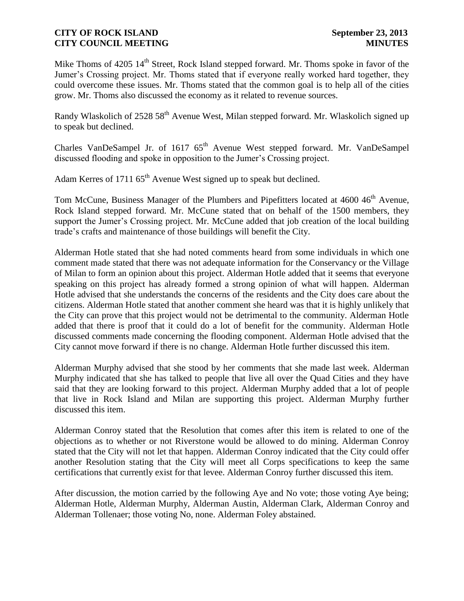Mike Thoms of  $4205 \frac{14^{\text{th}}}{\text{Street}}$ , Rock Island stepped forward. Mr. Thoms spoke in favor of the Jumer's Crossing project. Mr. Thoms stated that if everyone really worked hard together, they could overcome these issues. Mr. Thoms stated that the common goal is to help all of the cities grow. Mr. Thoms also discussed the economy as it related to revenue sources.

Randy Wlaskolich of 2528 58<sup>th</sup> Avenue West, Milan stepped forward. Mr. Wlaskolich signed up to speak but declined.

Charles VanDeSampel Jr. of 1617 65<sup>th</sup> Avenue West stepped forward. Mr. VanDeSampel discussed flooding and spoke in opposition to the Jumer's Crossing project.

Adam Kerres of 1711  $65<sup>th</sup>$  Avenue West signed up to speak but declined.

Tom McCune, Business Manager of the Plumbers and Pipefitters located at 4600 46<sup>th</sup> Avenue, Rock Island stepped forward. Mr. McCune stated that on behalf of the 1500 members, they support the Jumer's Crossing project. Mr. McCune added that job creation of the local building trade's crafts and maintenance of those buildings will benefit the City.

Alderman Hotle stated that she had noted comments heard from some individuals in which one comment made stated that there was not adequate information for the Conservancy or the Village of Milan to form an opinion about this project. Alderman Hotle added that it seems that everyone speaking on this project has already formed a strong opinion of what will happen. Alderman Hotle advised that she understands the concerns of the residents and the City does care about the citizens. Alderman Hotle stated that another comment she heard was that it is highly unlikely that the City can prove that this project would not be detrimental to the community. Alderman Hotle added that there is proof that it could do a lot of benefit for the community. Alderman Hotle discussed comments made concerning the flooding component. Alderman Hotle advised that the City cannot move forward if there is no change. Alderman Hotle further discussed this item.

Alderman Murphy advised that she stood by her comments that she made last week. Alderman Murphy indicated that she has talked to people that live all over the Quad Cities and they have said that they are looking forward to this project. Alderman Murphy added that a lot of people that live in Rock Island and Milan are supporting this project. Alderman Murphy further discussed this item.

Alderman Conroy stated that the Resolution that comes after this item is related to one of the objections as to whether or not Riverstone would be allowed to do mining. Alderman Conroy stated that the City will not let that happen. Alderman Conroy indicated that the City could offer another Resolution stating that the City will meet all Corps specifications to keep the same certifications that currently exist for that levee. Alderman Conroy further discussed this item.

After discussion, the motion carried by the following Aye and No vote; those voting Aye being; Alderman Hotle, Alderman Murphy, Alderman Austin, Alderman Clark, Alderman Conroy and Alderman Tollenaer; those voting No, none. Alderman Foley abstained.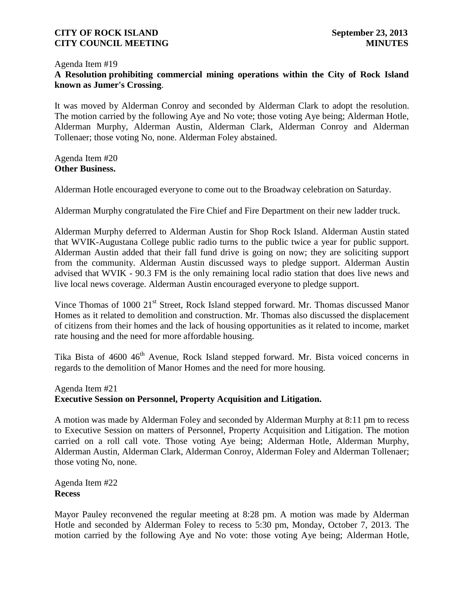#### Agenda Item #19

# **A Resolution prohibiting commercial mining operations within the City of Rock Island known as Jumer's Crossing**.

It was moved by Alderman Conroy and seconded by Alderman Clark to adopt the resolution. The motion carried by the following Aye and No vote; those voting Aye being; Alderman Hotle, Alderman Murphy, Alderman Austin, Alderman Clark, Alderman Conroy and Alderman Tollenaer; those voting No, none. Alderman Foley abstained.

## Agenda Item #20 **Other Business.**

Alderman Hotle encouraged everyone to come out to the Broadway celebration on Saturday.

Alderman Murphy congratulated the Fire Chief and Fire Department on their new ladder truck.

Alderman Murphy deferred to Alderman Austin for Shop Rock Island. Alderman Austin stated that WVIK-Augustana College public radio turns to the public twice a year for public support. Alderman Austin added that their fall fund drive is going on now; they are soliciting support from the community. Alderman Austin discussed ways to pledge support. Alderman Austin advised that WVIK - 90.3 FM is the only remaining local radio station that does live news and live local news coverage. Alderman Austin encouraged everyone to pledge support.

Vince Thomas of 1000 21<sup>st</sup> Street, Rock Island stepped forward. Mr. Thomas discussed Manor Homes as it related to demolition and construction. Mr. Thomas also discussed the displacement of citizens from their homes and the lack of housing opportunities as it related to income, market rate housing and the need for more affordable housing.

Tika Bista of 4600 46<sup>th</sup> Avenue, Rock Island stepped forward. Mr. Bista voiced concerns in regards to the demolition of Manor Homes and the need for more housing.

#### Agenda Item #21 **Executive Session on Personnel, Property Acquisition and Litigation.**

A motion was made by Alderman Foley and seconded by Alderman Murphy at 8:11 pm to recess to Executive Session on matters of Personnel, Property Acquisition and Litigation. The motion carried on a roll call vote. Those voting Aye being; Alderman Hotle, Alderman Murphy, Alderman Austin, Alderman Clark, Alderman Conroy, Alderman Foley and Alderman Tollenaer; those voting No, none.

Agenda Item #22 **Recess**

Mayor Pauley reconvened the regular meeting at 8:28 pm. A motion was made by Alderman Hotle and seconded by Alderman Foley to recess to 5:30 pm, Monday, October 7, 2013. The motion carried by the following Aye and No vote: those voting Aye being; Alderman Hotle,